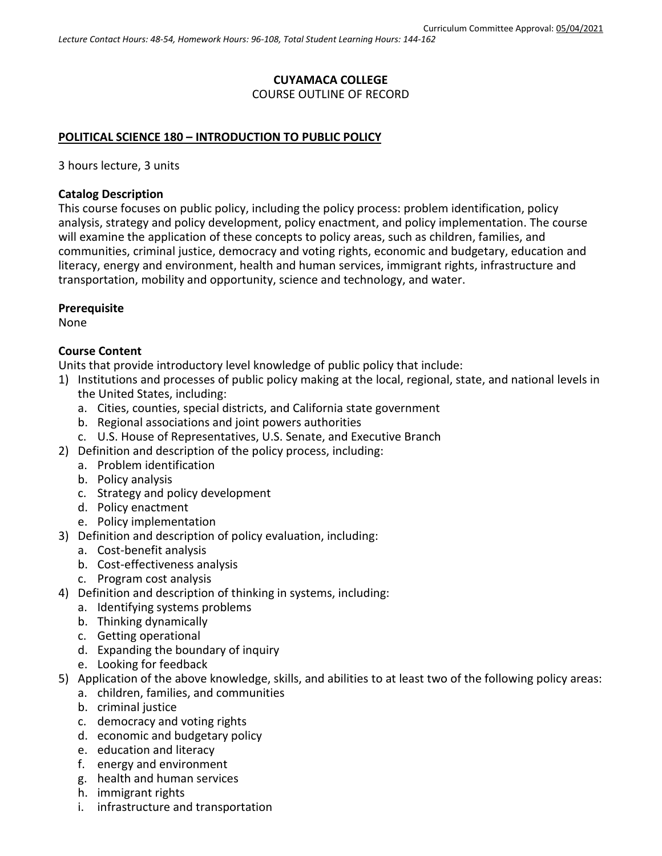# **CUYAMACA COLLEGE** COURSE OUTLINE OF RECORD

#### **POLITICAL SCIENCE 180 – INTRODUCTION TO PUBLIC POLICY**

3 hours lecture, 3 units

#### **Catalog Description**

This course focuses on public policy, including the policy process: problem identification, policy analysis, strategy and policy development, policy enactment, and policy implementation. The course will examine the application of these concepts to policy areas, such as children, families, and communities, criminal justice, democracy and voting rights, economic and budgetary, education and literacy, energy and environment, health and human services, immigrant rights, infrastructure and transportation, mobility and opportunity, science and technology, and water.

#### **Prerequisite**

None

#### **Course Content**

Units that provide introductory level knowledge of public policy that include:

- 1) Institutions and processes of public policy making at the local, regional, state, and national levels in the United States, including:
	- a. Cities, counties, special districts, and California state government
	- b. Regional associations and joint powers authorities
	- c. U.S. House of Representatives, U.S. Senate, and Executive Branch
- 2) Definition and description of the policy process, including:
	- a. Problem identification
	- b. Policy analysis
	- c. Strategy and policy development
	- d. Policy enactment
	- e. Policy implementation
- 3) Definition and description of policy evaluation, including:
	- a. Cost-benefit analysis
	- b. Cost-effectiveness analysis
	- c. Program cost analysis
- 4) Definition and description of thinking in systems, including:
	- a. Identifying systems problems
	- b. Thinking dynamically
	- c. Getting operational
	- d. Expanding the boundary of inquiry
	- e. Looking for feedback
- 5) Application of the above knowledge, skills, and abilities to at least two of the following policy areas:
	- a. children, families, and communities
	- b. criminal justice
	- c. democracy and voting rights
	- d. economic and budgetary policy
	- e. education and literacy
	- f. energy and environment
	- g. health and human services
	- h. immigrant rights
	- i. infrastructure and transportation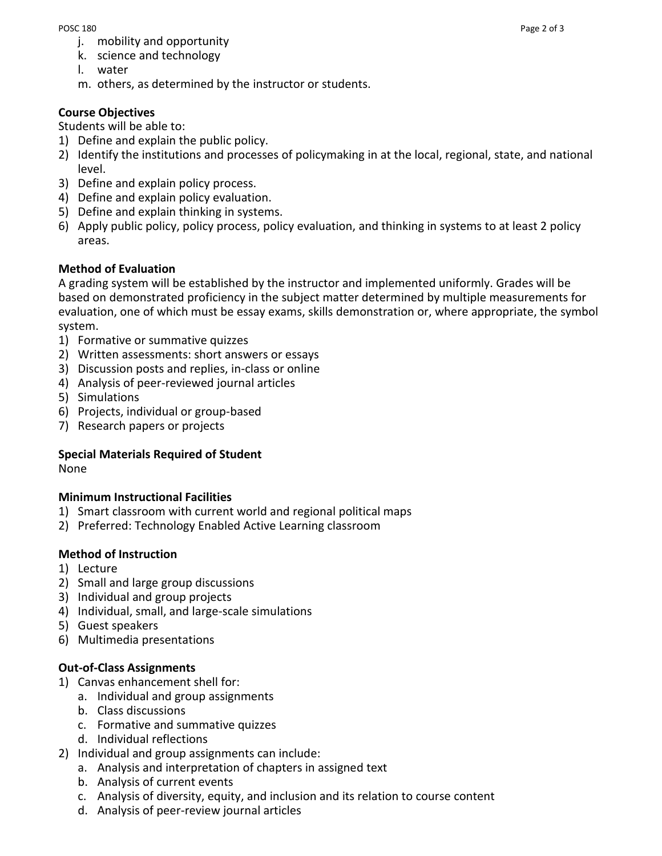- j. mobility and opportunity
- k. science and technology
- l. water
- m. others, as determined by the instructor or students.

### **Course Objectives**

Students will be able to:

- 1) Define and explain the public policy.
- 2) Identify the institutions and processes of policymaking in at the local, regional, state, and national level.
- 3) Define and explain policy process.
- 4) Define and explain policy evaluation.
- 5) Define and explain thinking in systems.
- 6) Apply public policy, policy process, policy evaluation, and thinking in systems to at least 2 policy areas.

#### **Method of Evaluation**

A grading system will be established by the instructor and implemented uniformly. Grades will be based on demonstrated proficiency in the subject matter determined by multiple measurements for evaluation, one of which must be essay exams, skills demonstration or, where appropriate, the symbol system.

- 1) Formative or summative quizzes
- 2) Written assessments: short answers or essays
- 3) Discussion posts and replies, in-class or online
- 4) Analysis of peer-reviewed journal articles
- 5) Simulations
- 6) Projects, individual or group-based
- 7) Research papers or projects

# **Special Materials Required of Student**

None

#### **Minimum Instructional Facilities**

- 1) Smart classroom with current world and regional political maps
- 2) Preferred: Technology Enabled Active Learning classroom

#### **Method of Instruction**

- 1) Lecture
- 2) Small and large group discussions
- 3) Individual and group projects
- 4) Individual, small, and large-scale simulations
- 5) Guest speakers
- 6) Multimedia presentations

#### **Out-of-Class Assignments**

- 1) Canvas enhancement shell for:
	- a. Individual and group assignments
	- b. Class discussions
	- c. Formative and summative quizzes
	- d. Individual reflections
- 2) Individual and group assignments can include:
	- a. Analysis and interpretation of chapters in assigned text
	- b. Analysis of current events
	- c. Analysis of diversity, equity, and inclusion and its relation to course content
	- d. Analysis of peer-review journal articles